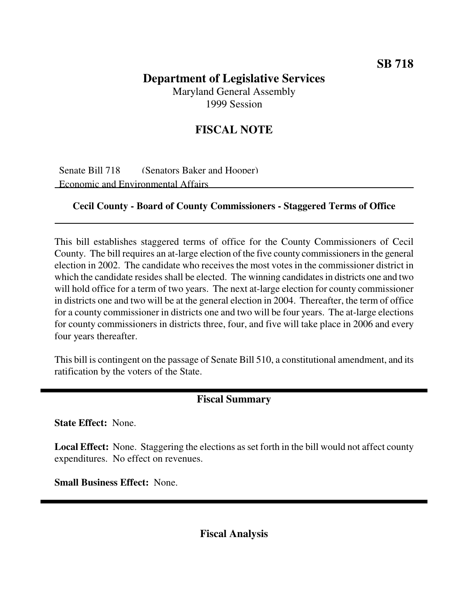### **SB 718**

# **Department of Legislative Services** Maryland General Assembly

1999 Session

## **FISCAL NOTE**

Senate Bill 718 (Senators Baker and Hooper) Economic and Environmental Affairs

#### **Cecil County - Board of County Commissioners - Staggered Terms of Office**

This bill establishes staggered terms of office for the County Commissioners of Cecil County. The bill requires an at-large election of the five county commissionersin the general election in 2002. The candidate who receives the most votes in the commissioner district in which the candidate resides shall be elected. The winning candidates in districts one and two will hold office for a term of two years. The next at-large election for county commissioner in districts one and two will be at the general election in 2004. Thereafter, the term of office for a county commissioner in districts one and two will be four years. The at-large elections for county commissioners in districts three, four, and five will take place in 2006 and every four years thereafter.

This bill is contingent on the passage of Senate Bill 510, a constitutional amendment, and its ratification by the voters of the State.

### **Fiscal Summary**

**State Effect:** None.

**Local Effect:** None. Staggering the elections as set forth in the bill would not affect county expenditures. No effect on revenues.

**Small Business Effect:** None.

**Fiscal Analysis**